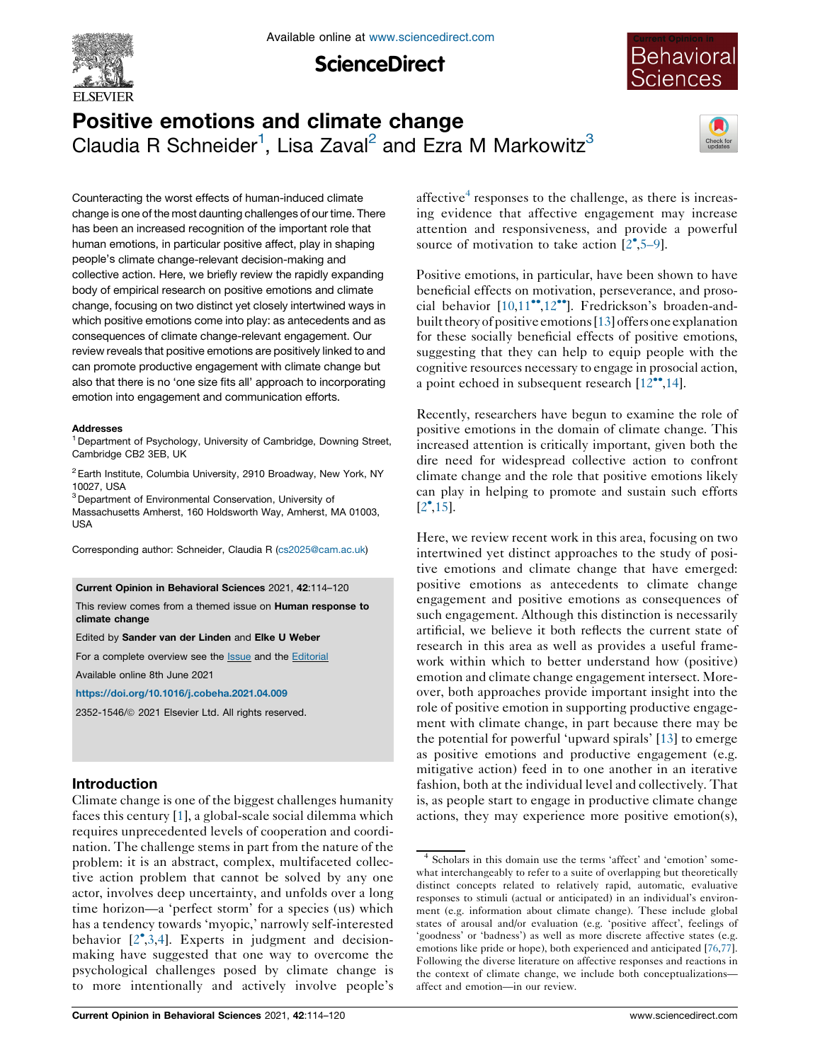

**ScienceDirect** 



# Positive emotions and climate change Claudia R Schneider<sup>1</sup>, Lisa Zaval<sup>2</sup> and Ezra M Markowitz<sup>3</sup>



Counteracting the worst effects of human-induced climate change is one of the most daunting challenges of our time. There has been an increased recognition of the important role that human emotions, in particular positive affect, play in shaping people's climate change-relevant decision-making and collective action. Here, we briefly review the rapidly expanding body of empirical research on positive emotions and climate change, focusing on two distinct yet closely intertwined ways in which positive emotions come into play: as antecedents and as consequences of climate change-relevant engagement. Our review reveals that positive emotions are positively linked to and can promote productive engagement with climate change but also that there is no 'one size fits all' approach to incorporating emotion into engagement and communication efforts.

#### Addresses

<sup>1</sup> Department of Psychology, University of Cambridge, Downing Street, Cambridge CB2 3EB, UK

 $2$  Earth Institute, Columbia University, 2910 Broadway, New York, NY 10027, USA

<sup>3</sup> Department of Environmental Conservation, University of Massachusetts Amherst, 160 Holdsworth Way, Amherst, MA 01003, USA

Corresponding author: Schneider, Claudia R ([cs2025@cam.ac.uk](mailto:cs2025@cam.ac.uk))

#### Current Opinion in Behavioral Sciences 2021, 42:114–120

This review comes from a themed issue on Human response to climate change

#### Edited by Sander van der Linden and Elke U Weber

For a complete overview see the **[Issue](http://www.sciencedirect.com/science/journal/23521546/42)** and the **[Editorial](https://doi.org/10.1016/j.cobeha.2021.09.001)** 

Available online 8th June 2021

<https://doi.org/10.1016/j.cobeha.2021.04.009>

2352-1546/ã 2021 Elsevier Ltd. All rights reserved.

## Introduction

Climate change is one of the biggest challenges humanity faces this century [\[1](#page-4-0)], a global-scale social dilemma which requires unprecedented levels of cooperation and coordination. The challenge stems in part from the nature of the problem: it is an abstract, complex, multifaceted collective action problem that cannot be solved by any one actor, involves deep uncertainty, and unfolds over a long time horizon—a 'perfect storm' for a species (us) which has a tendency towards 'myopic,' narrowly self-interested behavior [[2](#page-4-0) [,3](#page-4-0),[4\]](#page-4-0). Experts in judgment and decisionmaking have suggested that one way to overcome the psychological challenges posed by climate change is to more intentionally and actively involve people's

affective $\alpha$  responses to the challenge, as there is increasing evidence that affective engagement may increase attention and responsiveness, and provide a powerful source of motivation to take action  $[2^{\bullet}, 5-9]$  $[2^{\bullet}, 5-9]$  $[2^{\bullet}, 5-9]$ .

Positive emotions, in particular, have been shown to have beneficial effects on motivation, perseverance, and prosocial behavior  $[10,11^{\bullet\bullet},12^{\bullet\bullet}]$  $[10,11^{\bullet\bullet},12^{\bullet\bullet}]$  $[10,11^{\bullet\bullet},12^{\bullet\bullet}]$  $[10,11^{\bullet\bullet},12^{\bullet\bullet}]$  $[10,11^{\bullet\bullet},12^{\bullet\bullet}]$  $[10,11^{\bullet\bullet},12^{\bullet\bullet}]$  $[10,11^{\bullet\bullet},12^{\bullet\bullet}]$ . Fredrickson's broaden-andbuilt theory of positive emotions [[13\]](#page-4-0) offers one explanation for these socially beneficial effects of positive emotions, suggesting that they can help to equip people with the cognitive resources necessary to engage in prosocial action, a point echoed in subsequent research  $[12^{\bullet\bullet}, 14]$  $[12^{\bullet\bullet}, 14]$ .

Recently, researchers have begun to examine the role of positive emotions in the domain of climate change. This increased attention is critically important, given both the dire need for widespread collective action to confront climate change and the role that positive emotions likely can play in helping to promote and sustain such efforts  $[2^{\bullet}, 15]$  $[2^{\bullet}, 15]$ .

Here, we review recent work in this area, focusing on two intertwined yet distinct approaches to the study of positive emotions and climate change that have emerged: positive emotions as antecedents to climate change engagement and positive emotions as consequences of such engagement. Although this distinction is necessarily artificial, we believe it both reflects the current state of research in this area as well as provides a useful framework within which to better understand how (positive) emotion and climate change engagement intersect. Moreover, both approaches provide important insight into the role of positive emotion in supporting productive engagement with climate change, in part because there may be the potential for powerful 'upward spirals' [\[13](#page-4-0)] to emerge as positive emotions and productive engagement (e.g. mitigative action) feed in to one another in an iterative fashion, both at the individual level and collectively. That is, as people start to engage in productive climate change actions, they may experience more positive emotion(s),

<sup>4</sup> Scholars in this domain use the terms 'affect' and 'emotion' somewhat interchangeably to refer to a suite of overlapping but theoretically distinct concepts related to relatively rapid, automatic, evaluative responses to stimuli (actual or anticipated) in an individual's environment (e.g. information about climate change). These include global states of arousal and/or evaluation (e.g. 'positive affect', feelings of 'goodness' or 'badness') as well as more discrete affective states (e.g. emotions like pride or hope), both experienced and anticipated [[76,77\]](#page-6-0). Following the diverse literature on affective responses and reactions in the context of climate change, we include both conceptualizations affect and emotion—in our review.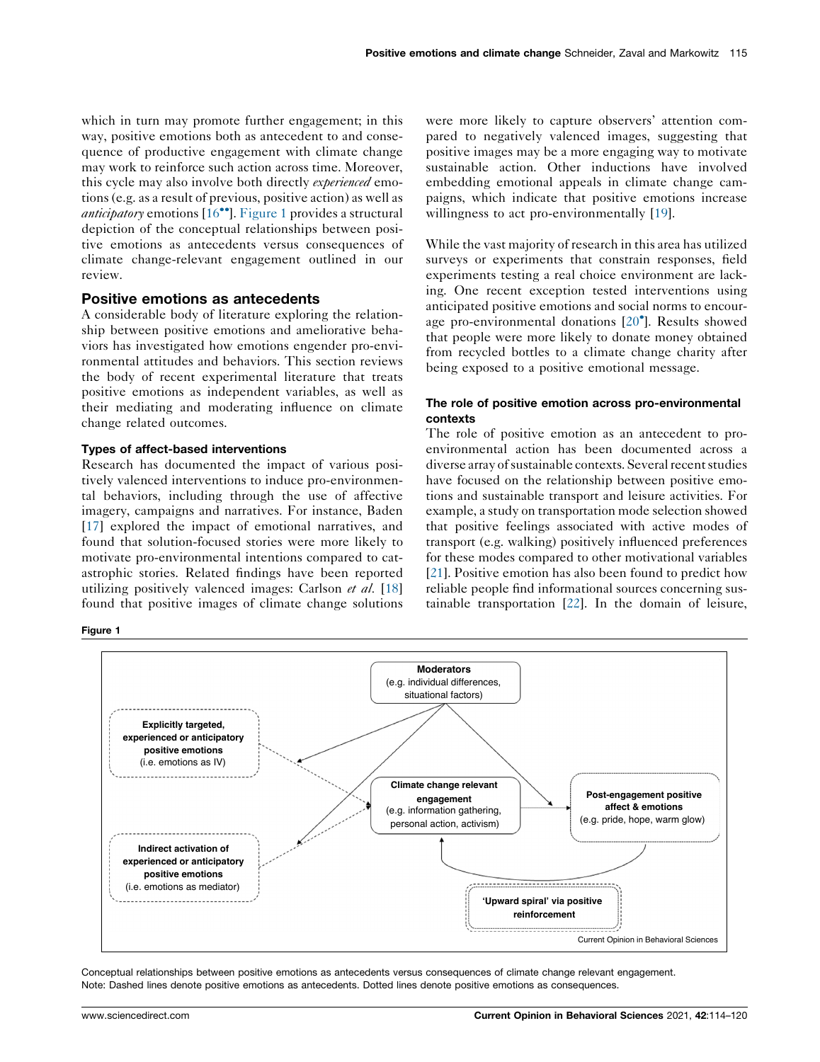which in turn may promote further engagement; in this way, positive emotions both as antecedent to and consequence of productive engagement with climate change may work to reinforce such action across time. Moreover, this cycle may also involve both directly *experienced* emotions (e.g. as a result of previous, positive action) as well as *anticipatory* emotions  $[16\text{°}$  $[16\text{°}$ . Figure 1 provides a structural depiction of the conceptual relationships between positive emotions as antecedents versus consequences of climate change-relevant engagement outlined in our review.

## Positive emotions as antecedents

A considerable body of literature exploring the relationship between positive emotions and ameliorative behaviors has investigated how emotions engender pro-environmental attitudes and behaviors. This section reviews the body of recent experimental literature that treats positive emotions as independent variables, as well as their mediating and moderating influence on climate change related outcomes.

#### Types of affect-based interventions

Research has documented the impact of various positively valenced interventions to induce pro-environmental behaviors, including through the use of affective imagery, campaigns and narratives. For instance, Baden [\[17](#page-5-0)] explored the impact of emotional narratives, and found that solution-focused stories were more likely to motivate pro-environmental intentions compared to catastrophic stories. Related findings have been reported utilizing positively valenced images: Carlson et al. [[18\]](#page-5-0) found that positive images of climate change solutions

Figure 1

were more likely to capture observers' attention compared to negatively valenced images, suggesting that positive images may be a more engaging way to motivate sustainable action. Other inductions have involved embedding emotional appeals in climate change campaigns, which indicate that positive emotions increase willingness to act pro-environmentally [\[19\]](#page-5-0).

While the vast majority of research in this area has utilized surveys or experiments that constrain responses, field experiments testing a real choice environment are lacking. One recent exception tested interventions using anticipated positive emotions and social norms to encourage pro-environmental donations [[20](#page-5-0) ]. Results showed that people were more likely to donate money obtained from recycled bottles to a climate change charity after being exposed to a positive emotional message.

## The role of positive emotion across pro-environmental contexts

The role of positive emotion as an antecedent to proenvironmental action has been documented across a diverse array of sustainable contexts. Several recent studies have focused on the relationship between positive emotions and sustainable transport and leisure activities. For example, a study on transportation mode selection showed that positive feelings associated with active modes of transport (e.g. walking) positively influenced preferences for these modes compared to other motivational variables [\[21](#page-5-0)]. Positive emotion has also been found to predict how reliable people find informational sources concerning sustainable transportation [\[22](#page-5-0)]. In the domain of leisure,



Conceptual relationships between positive emotions as antecedents versus consequences of climate change relevant engagement. Note: Dashed lines denote positive emotions as antecedents. Dotted lines denote positive emotions as consequences.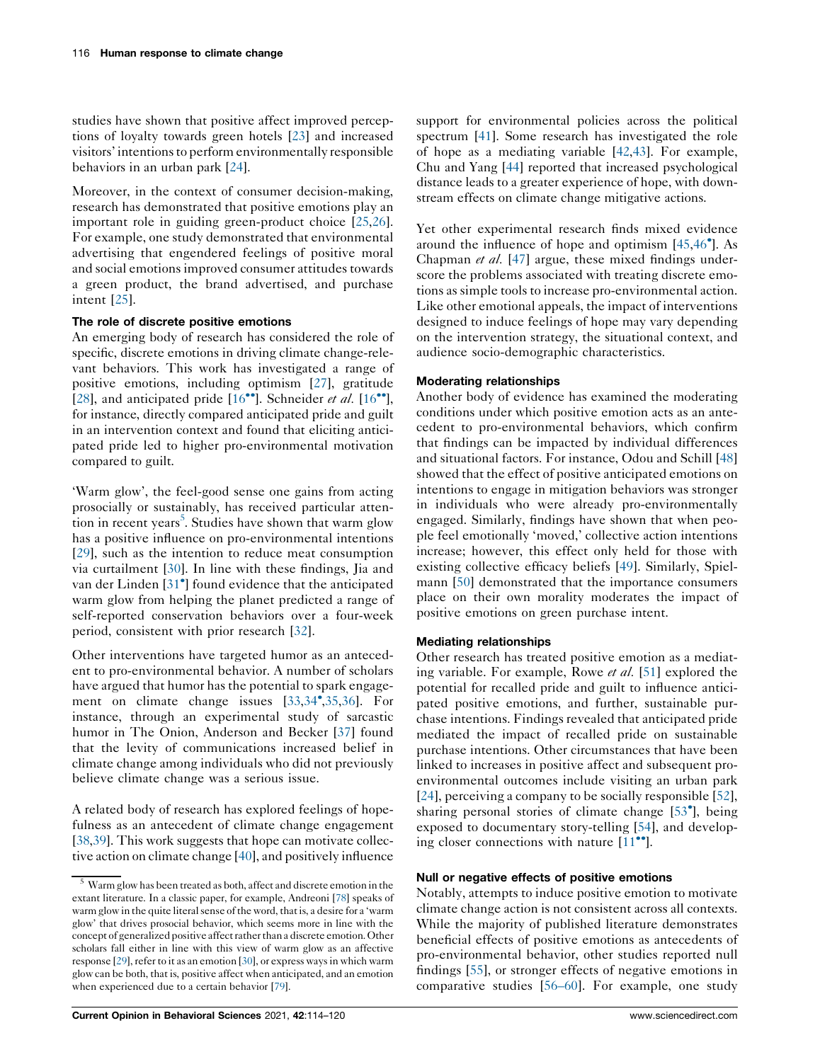studies have shown that positive affect improved perceptions of loyalty towards green hotels [\[23](#page-5-0)] and increased visitors' intentionsto perform environmentally responsible behaviors in an urban park [[24\]](#page-5-0).

Moreover, in the context of consumer decision-making, research has demonstrated that positive emotions play an important role in guiding green-product choice [[25,26](#page-5-0)]. For example, one study demonstrated that environmental advertising that engendered feelings of positive moral and social emotions improved consumer attitudes towards a green product, the brand advertised, and purchase intent [[25\]](#page-5-0).

#### The role of discrete positive emotions

An emerging body of research has considered the role of specific, discrete emotions in driving climate change-relevant behaviors. This work has investigated a range of positive emotions, including optimism [\[27](#page-5-0)], gratitude [\[28](#page-5-0)], and anticipated pride  $[16\text{°}']$  $[16\text{°}']$ . Schneider *et al.*  $[16\text{°}']$ , for instance, directly compared anticipated pride and guilt in an intervention context and found that eliciting anticipated pride led to higher pro-environmental motivation compared to guilt.

'Warm glow', the feel-good sense one gains from acting prosocially or sustainably, has received particular attention in recent years<sup>5</sup>. Studies have shown that warm glow has a positive influence on pro-environmental intentions [\[29](#page-5-0)], such as the intention to reduce meat consumption via curtailment [\[30](#page-5-0)]. In line with these findings, Jia and van der Linden [[31](#page-5-0) ] found evidence that the anticipated warm glow from helping the planet predicted a range of self-reported conservation behaviors over a four-week period, consistent with prior research [[32\]](#page-5-0).

Other interventions have targeted humor as an antecedent to pro-environmental behavior. A number of scholars have argued that humor has the potential to spark engagement on climate change issues [[33,34](#page-5-0) [,35](#page-5-0),[36](#page-5-0)]. For instance, through an experimental study of sarcastic humor in The Onion, Anderson and Becker [\[37](#page-5-0)] found that the levity of communications increased belief in climate change among individuals who did not previously believe climate change was a serious issue.

A related body of research has explored feelings of hopefulness as an antecedent of climate change engagement [\[38,39](#page-5-0)]. This work suggests that hope can motivate collective action on climate change [\[40](#page-5-0)], and positively influence support for environmental policies across the political spectrum [[41](#page-5-0)]. Some research has investigated the role of hope as a mediating variable [[42](#page-5-0),[43\]](#page-5-0). For example, Chu and Yang [\[44](#page-5-0)] reported that increased psychological distance leads to a greater experience of hope, with downstream effects on climate change mitigative actions.

Yet other experimental research finds mixed evidence around the influence of hope and optimism [[45,](#page-5-0)[46](#page-6-0) ]. As Chapman et al. [[47\]](#page-6-0) argue, these mixed findings underscore the problems associated with treating discrete emotions as simple tools to increase pro-environmental action. Like other emotional appeals, the impact of interventions designed to induce feelings of hope may vary depending on the intervention strategy, the situational context, and audience socio-demographic characteristics.

#### Moderating relationships

Another body of evidence has examined the moderating conditions under which positive emotion acts as an antecedent to pro-environmental behaviors, which confirm that findings can be impacted by individual differences and situational factors. For instance, Odou and Schill [\[48\]](#page-6-0) showed that the effect of positive anticipated emotions on intentions to engage in mitigation behaviors was stronger in individuals who were already pro-environmentally engaged. Similarly, findings have shown that when people feel emotionally 'moved,' collective action intentions increase; however, this effect only held for those with existing collective efficacy beliefs [\[49](#page-6-0)]. Similarly, Spielmann [\[50](#page-6-0)] demonstrated that the importance consumers place on their own morality moderates the impact of positive emotions on green purchase intent.

## Mediating relationships

Other research has treated positive emotion as a mediating variable. For example, Rowe et al. [[51\]](#page-6-0) explored the potential for recalled pride and guilt to influence anticipated positive emotions, and further, sustainable purchase intentions. Findings revealed that anticipated pride mediated the impact of recalled pride on sustainable purchase intentions. Other circumstances that have been linked to increases in positive affect and subsequent proenvironmental outcomes include visiting an urban park [\[24](#page-5-0)], perceiving a company to be socially responsible [[52](#page-6-0)], sharing personal stories of climate change [[53](#page-6-0) ], being exposed to documentary story-telling [[54\]](#page-6-0), and developing closer connections with nature  $[11$ <sup> $\bullet$ </sup>].

#### Null or negative effects of positive emotions

Notably, attempts to induce positive emotion to motivate climate change action is not consistent across all contexts. While the majority of published literature demonstrates beneficial effects of positive emotions as antecedents of pro-environmental behavior, other studies reported null findings [\[55](#page-6-0)], or stronger effects of negative emotions in comparative studies [[56–60\]](#page-6-0). For example, one study

<sup>5</sup> Warm glow has been treated as both, affect and discrete emotion in the extant literature. In a classic paper, for example, Andreoni [[78\]](#page-6-0) speaks of warm glow in the quite literal sense of the word, that is, a desire for a 'warm glow' that drives prosocial behavior, which seems more in line with the concept of generalized positive affect rather than a discrete emotion. Other scholars fall either in line with this view of warm glow as an affective response [[29\]](#page-5-0), refer to it as an emotion [[30\]](#page-5-0), or express ways in which warm glow can be both, that is, positive affect when anticipated, and an emotion when experienced due to a certain behavior [[79\]](#page-6-0).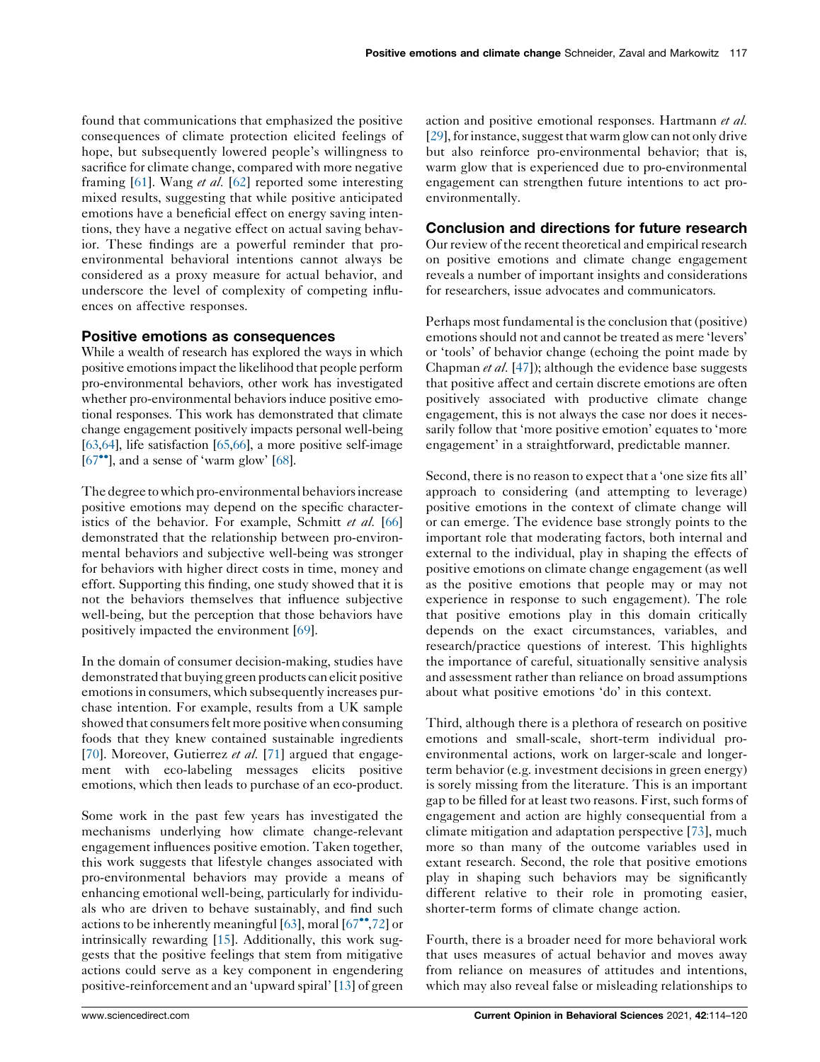found that communications that emphasized the positive consequences of climate protection elicited feelings of hope, but subsequently lowered people's willingness to sacrifice for climate change, compared with more negative framing [\[61](#page-6-0)]. Wang *et al.* [\[62](#page-6-0)] reported some interesting mixed results, suggesting that while positive anticipated emotions have a beneficial effect on energy saving intentions, they have a negative effect on actual saving behavior. These findings are a powerful reminder that proenvironmental behavioral intentions cannot always be considered as a proxy measure for actual behavior, and underscore the level of complexity of competing influences on affective responses.

## Positive emotions as consequences

While a wealth of research has explored the ways in which positive emotions impact the likelihood that people perform pro-environmental behaviors, other work has investigated whether pro-environmental behaviors induce positive emotional responses. This work has demonstrated that climate change engagement positively impacts personal well-being [\[63,64\]](#page-6-0), life satisfaction [\[65,66\]](#page-6-0), a more positive self-image  $[67\text{°}$  $[67\text{°}$ , and a sense of 'warm glow'  $[68]$  $[68]$ .

The degree to which pro-environmental behaviors increase positive emotions may depend on the specific character-istics of the behavior. For example, Schmitt et al. [\[66\]](#page-6-0) demonstrated that the relationship between pro-environmental behaviors and subjective well-being was stronger for behaviors with higher direct costs in time, money and effort. Supporting this finding, one study showed that it is not the behaviors themselves that influence subjective well-being, but the perception that those behaviors have positively impacted the environment [\[69\]](#page-6-0).

In the domain of consumer decision-making, studies have demonstrated that buying green products can elicit positive emotionsin consumers, which subsequently increases purchase intention. For example, results from a UK sample showed that consumers felt more positive when consuming foods that they knew contained sustainable ingredients [\[70](#page-6-0)]. Moreover, Gutierrez et al. [[71\]](#page-6-0) argued that engagement with eco-labeling messages elicits positive emotions, which then leads to purchase of an eco-product.

Some work in the past few years has investigated the mechanisms underlying how climate change-relevant engagement influences positive emotion. Taken together, this work suggests that lifestyle changes associated with pro-environmental behaviors may provide a means of enhancing emotional well-being, particularly for individuals who are driven to behave sustainably, and find such actions to be inherently meaningful [\[63](#page-6-0)], moral  $[67^{\circ\bullet},72]$  $[67^{\circ\bullet},72]$  $[67^{\circ\bullet},72]$  $[67^{\circ\bullet},72]$  or intrinsically rewarding [\[15](#page-4-0)]. Additionally, this work suggests that the positive feelings that stem from mitigative actions could serve as a key component in engendering positive-reinforcement and an 'upward spiral' [[13\]](#page-4-0) of green action and positive emotional responses. Hartmann et al. [\[29](#page-5-0)], for instance, suggest that warm glow can not only drive but also reinforce pro-environmental behavior; that is, warm glow that is experienced due to pro-environmental engagement can strengthen future intentions to act proenvironmentally.

## Conclusion and directions for future research

Our review of the recent theoretical and empirical research on positive emotions and climate change engagement reveals a number of important insights and considerations for researchers, issue advocates and communicators.

Perhaps most fundamental is the conclusion that (positive) emotions should not and cannot be treated as mere 'levers' or 'tools' of behavior change (echoing the point made by Chapman et al. [[47](#page-6-0)]); although the evidence base suggests that positive affect and certain discrete emotions are often positively associated with productive climate change engagement, this is not always the case nor does it necessarily follow that 'more positive emotion' equates to 'more engagement' in a straightforward, predictable manner.

Second, there is no reason to expect that a 'one size fits all' approach to considering (and attempting to leverage) positive emotions in the context of climate change will or can emerge. The evidence base strongly points to the important role that moderating factors, both internal and external to the individual, play in shaping the effects of positive emotions on climate change engagement (as well as the positive emotions that people may or may not experience in response to such engagement). The role that positive emotions play in this domain critically depends on the exact circumstances, variables, and research/practice questions of interest. This highlights the importance of careful, situationally sensitive analysis and assessment rather than reliance on broad assumptions about what positive emotions 'do' in this context.

Third, although there is a plethora of research on positive emotions and small-scale, short-term individual proenvironmental actions, work on larger-scale and longerterm behavior (e.g. investment decisions in green energy) is sorely missing from the literature. This is an important gap to be filled for at least two reasons. First, such forms of engagement and action are highly consequential from a climate mitigation and adaptation perspective [\[73](#page-6-0)], much more so than many of the outcome variables used in extant research. Second, the role that positive emotions play in shaping such behaviors may be significantly different relative to their role in promoting easier, shorter-term forms of climate change action.

Fourth, there is a broader need for more behavioral work that uses measures of actual behavior and moves away from reliance on measures of attitudes and intentions, which may also reveal false or misleading relationships to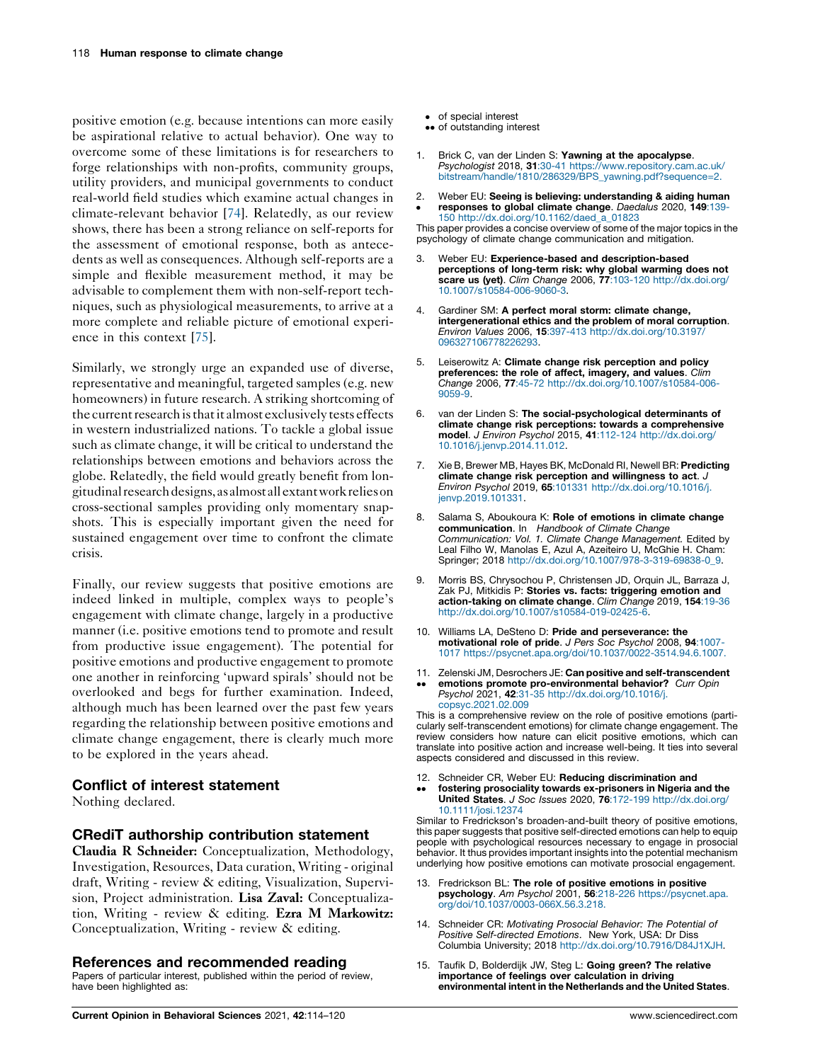<span id="page-4-0"></span>positive emotion (e.g. because intentions can more easily be aspirational relative to actual behavior). One way to overcome some of these limitations is for researchers to forge relationships with non-profits, community groups, utility providers, and municipal governments to conduct real-world field studies which examine actual changes in climate-relevant behavior [[74\]](#page-6-0). Relatedly, as our review shows, there has been a strong reliance on self-reports for the assessment of emotional response, both as antecedents as well as consequences. Although self-reports are a simple and flexible measurement method, it may be advisable to complement them with non-self-report techniques, such as physiological measurements, to arrive at a more complete and reliable picture of emotional experience in this context [[75\]](#page-6-0).

Similarly, we strongly urge an expanded use of diverse, representative and meaningful, targeted samples(e.g. new homeowners) in future research. A striking shortcoming of the current research is that it almost exclusively tests effects in western industrialized nations. To tackle a global issue such as climate change, it will be critical to understand the relationships between emotions and behaviors across the globe. Relatedly, the field would greatly benefit from longitudinal researchdesigns,asalmostall extantwork relieson cross-sectional samples providing only momentary snapshots. This is especially important given the need for sustained engagement over time to confront the climate crisis.

Finally, our review suggests that positive emotions are indeed linked in multiple, complex ways to people's engagement with climate change, largely in a productive manner (i.e. positive emotions tend to promote and result from productive issue engagement). The potential for positive emotions and productive engagement to promote one another in reinforcing 'upward spirals' should not be overlooked and begs for further examination. Indeed, although much has been learned over the past few years regarding the relationship between positive emotions and climate change engagement, there is clearly much more to be explored in the years ahead.

## Conflict of interest statement

Nothing declared.

## CRediT authorship contribution statement

Claudia R Schneider: Conceptualization, Methodology, Investigation, Resources, Data curation, Writing - original draft, Writing - review & editing, Visualization, Supervision, Project administration. Lisa Zaval: Conceptualization, Writing - review & editing. Ezra M Markowitz: Conceptualization, Writing - review & editing.

## References and recommended reading

Papers of particular interest, published within the period of review, have been highlighted as:

- of special interest
- of outstanding interest
- 1. Brick C, van der Linden S: Yawning at the apocalypse. Psychologist 2018, 31:30-41 [https://www.repository.cam.ac.uk/](https://www.repository.cam.ac.uk/bitstream/handle/1810/286329/BPS_yawning.pdf?sequence=2) [bitstream/handle/1810/286329/BPS\\_yawning.pdf?sequence=2.](https://www.repository.cam.ac.uk/bitstream/handle/1810/286329/BPS_yawning.pdf?sequence=2)
- 2. Î Weber EU: Seeing is believing: understanding & aiding human responses to global climate change. Daedalus 2020, 149:139-

150 [http://dx.doi.org/10.1162/daed\\_a\\_01823](http://dx.doi.org/10.1162/daed_a_01823) This paper provides a concise overview of some of the major topics in the psychology of climate change communication and mitigation.

- Weber EU: Experience-based and description-based perceptions of long-term risk: why global warming does not scare us (yet). Clim Change 2006, 77:103-120 [http://dx.doi.org/](http://dx.doi.org/10.1007/s10584-006-9060-3) [10.1007/s10584-006-9060-3.](http://dx.doi.org/10.1007/s10584-006-9060-3)
- Gardiner SM: A perfect moral storm: climate change, intergenerational ethics and the problem of moral corruption. Environ Values 2006, 15:397-413 [http://dx.doi.org/10.3197/](http://dx.doi.org/10.3197/096327106778226293) [096327106778226293.](http://dx.doi.org/10.3197/096327106778226293)
- 5. Leiserowitz A: Climate change risk perception and policy preferences: the role of affect, imagery, and values. Clim Change 2006, 77:45-72 [http://dx.doi.org/10.1007/s10584-006-](http://dx.doi.org/10.1007/s10584-006-9059-9) [9059-9](http://dx.doi.org/10.1007/s10584-006-9059-9).
- 6. van der Linden S: The social-psychological determinants of climate change risk perceptions: towards a comprehensive model. J Environ Psychol 2015, 41:112-124 [http://dx.doi.org/](http://dx.doi.org/10.1016/j.jenvp.2014.11.012) [10.1016/j.jenvp.2014.11.012](http://dx.doi.org/10.1016/j.jenvp.2014.11.012).
- 7. Xie B, Brewer MB, Hayes BK, McDonald RI, Newell BR: Predicting climate change risk perception and willingness to act. J Environ Psychol 2019, 65:101331 [http://dx.doi.org/10.1016/j.](http://dx.doi.org/10.1016/j.jenvp.2019.101331) [jenvp.2019.101331](http://dx.doi.org/10.1016/j.jenvp.2019.101331).
- 8. Salama S, Aboukoura K: Role of emotions in climate change communication. In Handbook of Climate Change Communication: Vol. 1. Climate Change Management. Edited by Leal Filho W, Manolas E, Azul A, Azeiteiro U, McGhie H. Cham: Springer; 2018 [http://dx.doi.org/10.1007/978-3-319-69838-0\\_9.](http://dx.doi.org/10.1007/978-3-319-69838-0_9)
- 9. Morris BS, Chrysochou P, Christensen JD, Orquin JL, Barraza J, Zak PJ, Mitkidis P: Stories vs. facts: triggering emotion and action-taking on climate change. Clim Change 2019, 154:19-36 [http://dx.doi.org/10.1007/s10584-019-02425-6.](http://dx.doi.org/10.1007/s10584-019-02425-6)
- 10. Williams LA, DeSteno D: Pride and perseverance: the motivational role of pride. J Pers Soc Psychol 2008, 94:1007- 1017 [https://psycnet.apa.org/doi/10.1037/0022-3514.94.6.1007.](https://psycnet.apa.org/doi/10.1037/0022-3514.94.6.1007)
- 11. Zelenski JM, Desrochers JE: Can positive and self-transcendent
- $\ddot{\phantom{0}}$ emotions promote pro-environmental behavior? Curr Opin Psychol 2021, 42:31-35 [http://dx.doi.org/10.1016/j.](http://dx.doi.org/10.1016/j.copsyc.2021.02.009) [copsyc.2021.02.009](http://dx.doi.org/10.1016/j.copsyc.2021.02.009)

This is a comprehensive review on the role of positive emotions (particularly self-transcendent emotions) for climate change engagement. The review considers how nature can elicit positive emotions, which can translate into positive action and increase well-being. It ties into several aspects considered and discussed in this review.

- 12. Schneider CR, Weber EU: Reducing discrimination and
- $\ddot{\phantom{0}}$ fostering prosociality towards ex-prisoners in Nigeria and the United States. J Soc Issues 2020, 76:172-199 [http://dx.doi.org/](http://dx.doi.org/10.1111/josi.12374) [10.1111/josi.12374](http://dx.doi.org/10.1111/josi.12374)

Similar to Fredrickson's broaden-and-built theory of positive emotions, this paper suggests that positive self-directed emotions can help to equip people with psychological resources necessary to engage in prosocial behavior. It thus provides important insights into the potential mechanism underlying how positive emotions can motivate prosocial engagement.

- 13. Fredrickson BL: The role of positive emotions in positive psychology. Am Psychol 2001, 56:218-226 [https://psycnet.apa.](https://psycnet.apa.org/doi/10.1037/0003-066X.56.3.218) [org/doi/10.1037/0003-066X.56.3.218.](https://psycnet.apa.org/doi/10.1037/0003-066X.56.3.218)
- 14. Schneider CR: Motivating Prosocial Behavior: The Potential of Positive Self-directed Emotions. New York, USA: Dr Diss Columbia University; 2018 <http://dx.doi.org/10.7916/D84J1XJH>.
- 15. Taufik D, Bolderdijk JW, Steg L: Going green? The relative importance of feelings over calculation in driving environmental intent in the Netherlands and the United States.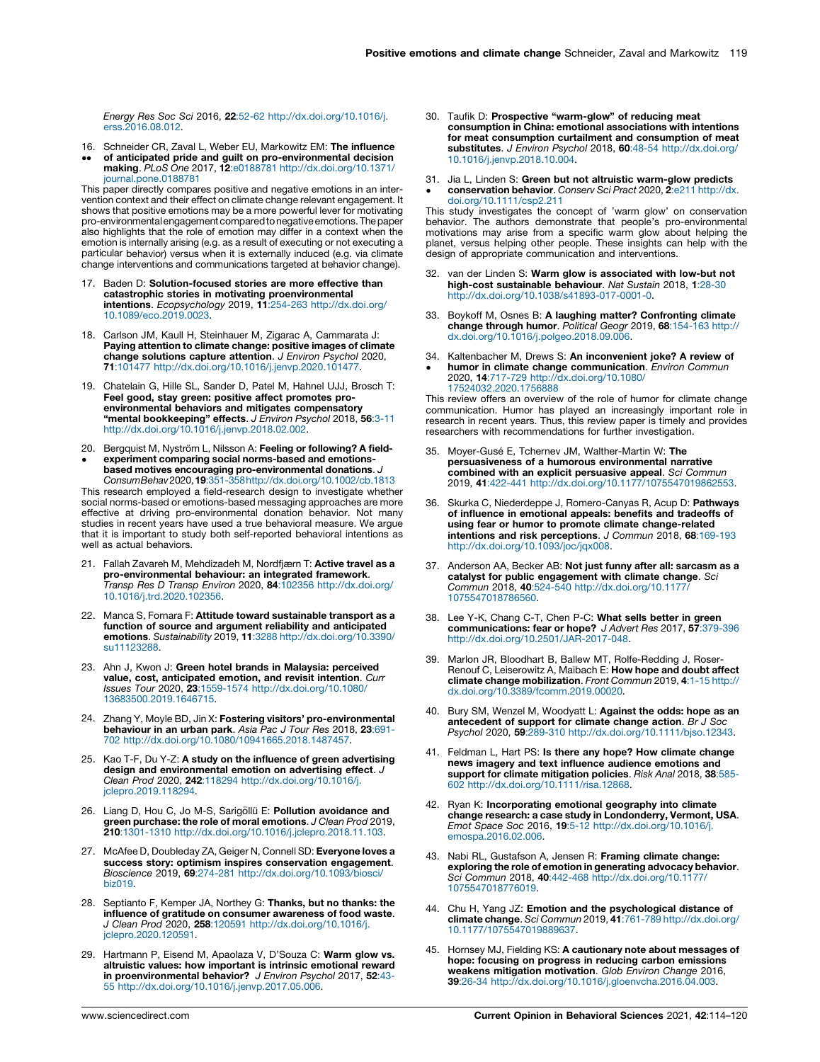<span id="page-5-0"></span>Energy Res Soc Sci 2016, 22:52-62 [http://dx.doi.org/10.1016/j.](http://dx.doi.org/10.1016/j.erss.2016.08.012) [erss.2016.08.012.](http://dx.doi.org/10.1016/j.erss.2016.08.012)

- 16. Schneider CR, Zaval L, Weber EU, Markowitz EM: The influence
- $\ddot{\phantom{0}}$ of anticipated pride and guilt on pro-environmental decision making. PLoS One 2017, 12:e0188781 [http://dx.doi.org/10.1371/](http://dx.doi.org/10.1371/journal.pone.0188781) [journal.pone.0188781](http://dx.doi.org/10.1371/journal.pone.0188781)

This paper directly compares positive and negative emotions in an intervention context and their effect on climate change relevant engagement. It shows that positive emotions may be a more powerful lever for motivating pro-environmental engagement compared to negative emotions. The paper also highlights that the role of emotion may differ in a context when the emotion is internally arising (e.g. as a result of executing or not executing a particular behavior) versus when it is externally induced (e.g. via climate change interventions and communications targeted at behavior change).

- 17. Baden D: Solution-focused stories are more effective than catastrophic stories in motivating proenvironmental intentions. Ecopsychology 2019, 11:254-263 [http://dx.doi.org/](http://dx.doi.org/10.1089/eco.2019.0023) [10.1089/eco.2019.0023](http://dx.doi.org/10.1089/eco.2019.0023).
- 18. Carlson JM, Kaull H, Steinhauer M, Zigarac A, Cammarata J: Paying attention to climate change: positive images of climate change solutions capture attention. J Environ Psychol 2020, 71:101477 <http://dx.doi.org/10.1016/j.jenvp.2020.101477>.
- 19. Chatelain G, Hille SL, Sander D, Patel M, Hahnel UJJ, Brosch T: Feel good, stay green: positive affect promotes pro-environmental behaviors and mitigates compensatory "mental bookkeeping" effects. J Environ Psychol 2018, 56:3-11 [http://dx.doi.org/10.1016/j.jenvp.2018.02.002.](http://dx.doi.org/10.1016/j.jenvp.2018.02.002)
- 20. Bergquist M, Nyström L, Nilsson A: Feeling or following? A fieldexperiment comparing social norms-based and emotions-
- $\bullet$ based motives encouraging pro-environmental donations. J ConsumBehav2020,19:351-35[8http://dx.doi.org/10.1002/cb.1813](http://dx.doi.org/10.1002/cb.1813)

This research employed a field-research design to investigate whether social norms-based or emotions-based messaging approaches are more effective at driving pro-environmental donation behavior. Not many studies in recent years have used a true behavioral measure. We argue that it is important to study both self-reported behavioral intentions as well as actual behaviors.

- 21. Fallah Zavareh M, Mehdizadeh M, Nordfjærn T: Active travel as a **pro-environmental behaviour: an integrated framework.**<br>*Transp Res D Transp Environ* 2020, **84**:102356 [http://dx.doi.org/](http://dx.doi.org/10.1016/j.trd.2020.102356) [10.1016/j.trd.2020.102356](http://dx.doi.org/10.1016/j.trd.2020.102356).
- 22. Manca S, Fornara F: Attitude toward sustainable transport as a function of source and argument reliability and anticipated emotions. Sustainability 2019, 11:3288 [http://dx.doi.org/10.3390/](http://dx.doi.org/10.3390/su11123288) [su11123288](http://dx.doi.org/10.3390/su11123288).
- 23. Ahn J, Kwon J: Green hotel brands in Malaysia: perceived value, cost, anticipated emotion, and revisit intention. Curr Issues Tour 2020, 23:1559-1574 [http://dx.doi.org/10.1080/](http://dx.doi.org/10.1080/13683500.2019.1646715) [13683500.2019.1646715](http://dx.doi.org/10.1080/13683500.2019.1646715).
- 24. Zhang Y, Moyle BD, Jin X: Fostering visitors' pro-environmental **behaviour in an urban park**. *Asia Pac J Tour Res* 2018, **23**:691-<br>702 <http://dx.doi.org/10.1080/10941665.2018.1487457>.
- 25. Kao T-F, Du Y-Z: A study on the influence of green advertising design and environmental emotion on advertising effect. J Clean Prod 2020, 242:118294 [http://dx.doi.org/10.1016/j.](http://dx.doi.org/10.1016/j.jclepro.2019.118294) [jclepro.2019.118294](http://dx.doi.org/10.1016/j.jclepro.2019.118294).
- 26. Liang D, Hou C, Jo M-S, Sarigöllü E: Pollution avoidance and **green purchase: the role of moral emotions**. *J Clean Prod* 2019,<br>**210**:1301-1310 <http://dx.doi.org/10.1016/j.jclepro.2018.11.103>.
- 27. McAfee D, Doubleday ZA, Geiger N, Connell SD: Everyone loves a success story: optimism inspires conservation engagement. Bioscience 2019, 69:274-281 [http://dx.doi.org/10.1093/biosci/](http://dx.doi.org/10.1093/biosci/biz019) [biz019](http://dx.doi.org/10.1093/biosci/biz019).
- 28. Septianto F, Kemper JA, Northey G: Thanks, but no thanks: the influence of gratitude on consumer awareness of food waste. J Clean Prod 2020, 258:120591 [http://dx.doi.org/10.1016/j.](http://dx.doi.org/10.1016/j.jclepro.2020.120591) [jclepro.2020.120591](http://dx.doi.org/10.1016/j.jclepro.2020.120591).
- 29. Hartmann P, Eisend M, Apaolaza V, D'Souza C: Warm glow vs. altruistic values: how important is intrinsic emotional reward in proenvironmental behavior? J Environ Psychol 2017, 52:43-55 [http://dx.doi.org/10.1016/j.jenvp.2017.05.006.](http://dx.doi.org/10.1016/j.jenvp.2017.05.006)
- 30. Taufik D: Prospective "warm-glow" of reducing meat consumption in China: emotional associations with intentions for meat consumption curtailment and consumption of meat substitutes. J Environ Psychol 2018, 60:48-54 [http://dx.doi.org/](http://dx.doi.org/10.1016/j.jenvp.2018.10.004) [10.1016/j.jenvp.2018.10.004](http://dx.doi.org/10.1016/j.jenvp.2018.10.004).
- 31. Jia L, Linden S: Green but not altruistic warm-glow predicts
- $\bullet$ conservation behavior. Conserv Sci Pract 2020, 2:e211 [http://dx.](http://dx.doi.org/10.1111/csp2.211) [doi.org/10.1111/csp2.211](http://dx.doi.org/10.1111/csp2.211)

This study investigates the concept of 'warm glow' on conservation behavior. The authors demonstrate that people's pro-environmental motivations may arise from a specific warm glow about helping the planet, versus helping other people. These insights can help with the design of appropriate communication and interventions.

- 32. van der Linden S: Warm glow is associated with low-but not high-cost sustainable behaviour. Nat Sustain 2018, 1:28-30 [http://dx.doi.org/10.1038/s41893-017-0001-0.](http://dx.doi.org/10.1038/s41893-017-0001-0)
- 33. Boykoff M, Osnes B: A laughing matter? Confronting climate **change through humor**. *Political Geogr* 2019, **68**:154-163 [http://](http://dx.doi.org/10.1016/j.polgeo.2018.09.006)<br>[dx.doi.org/10.1016/j.polgeo.2018.09.006.](http://dx.doi.org/10.1016/j.polgeo.2018.09.006)
- 34. Kaltenbacher M, Drews S: An inconvenient joke? A review of  $\bullet$ humor in climate change communication. Environ Commun 2020, 14:717-729 [http://dx.doi.org/10.1080/](http://dx.doi.org/10.1080/17524032.2020.1756888) [17524032.2020.1756888](http://dx.doi.org/10.1080/17524032.2020.1756888)

This review offers an overview of the role of humor for climate change communication. Humor has played an increasingly important role in research in recent years. Thus, this review paper is timely and provides researchers with recommendations for further investigation.

- 35. Moyer-Gusé E, Tchernev JM, Walther-Martin W: The persuasiveness of a humorous environmental narrative combined with an explicit persuasive appeal. Sci Commun 2019, 41:422-441 [http://dx.doi.org/10.1177/1075547019862553.](http://dx.doi.org/10.1177/1075547019862553)
- 36. Skurka C, Niederdeppe J, Romero-Canyas R, Acup D: Pathways of influence in emotional appeals: benefits and tradeoffs of using fear or humor to promote climate change-related<br>intentions and risk perceptions. J Commun 2018, 68:169-193 [http://dx.doi.org/10.1093/joc/jqx008.](http://dx.doi.org/10.1093/joc/jqx008)
- 37. Anderson AA, Becker AB: Not just funny after all: sarcasm as a catalyst for public engagement with climate change. Sci Commun 2018, 40:524-540 [http://dx.doi.org/10.1177/](http://dx.doi.org/10.1177/1075547018786560) [1075547018786560.](http://dx.doi.org/10.1177/1075547018786560)
- 38. Lee Y-K, Chang C-T, Chen P-C: What sells better in green communications: fear or hope? J Advert Res 2017, 57:379-396 <http://dx.doi.org/10.2501/JAR-2017-048>.
- 39. Marlon JR, Bloodhart B, Ballew MT, Rolfe-Redding J, Roser-Renouf C, Leiserowitz A, Maibach E: How hope and doubt affect climate change mobilization. Front Commun 2019, 4:1-15 [http://](http://dx.doi.org/10.3389/fcomm.2019.00020) [dx.doi.org/10.3389/fcomm.2019.00020](http://dx.doi.org/10.3389/fcomm.2019.00020).
- 40. Bury SM, Wenzel M, Woodyatt L: Against the odds: hope as an antecedent of support for climate change action. Br J Soc Psychol 2020, 59:289-310 [http://dx.doi.org/10.1111/bjso.12343.](http://dx.doi.org/10.1111/bjso.12343)
- 41. Feldman L, Hart PS: Is there any hope? How climate change news imagery and text influence audience emotions and support for climate mitigation policies. Risk Anal 2018, 38:585-602 <http://dx.doi.org/10.1111/risa.12868>.
- 42. Ryan K: Incorporating emotional geography into climate change research: a case study in Londonderry, Vermont, USA. Emot Space Soc 2016, 19:5-12 [http://dx.doi.org/10.1016/j.](http://dx.doi.org/10.1016/j.emospa.2016.02.006) [emospa.2016.02.006](http://dx.doi.org/10.1016/j.emospa.2016.02.006).
- 43. Nabi RL, Gustafson A, Jensen R: Framing climate change: exploring the role of emotion in generating advocacy behavior. Sci Commun 2018, 40:442-468 [http://dx.doi.org/10.1177/](http://dx.doi.org/10.1177/1075547018776019) [1075547018776019.](http://dx.doi.org/10.1177/1075547018776019)
- 44. Chu H, Yang JZ: Emotion and the psychological distance of climate change. Sci Commun 2019, 41:761-789 [http://dx.doi.org/](http://dx.doi.org/10.1177/1075547019889637) [10.1177/1075547019889637](http://dx.doi.org/10.1177/1075547019889637).
- 45. Hornsey MJ, Fielding KS: A cautionary note about messages of hope: focusing on progress in reducing carbon emissions weakens mitigation motivation. Glob Environ Change 2016, 39:26-34 [http://dx.doi.org/10.1016/j.gloenvcha.2016.04.003.](http://dx.doi.org/10.1016/j.gloenvcha.2016.04.003)